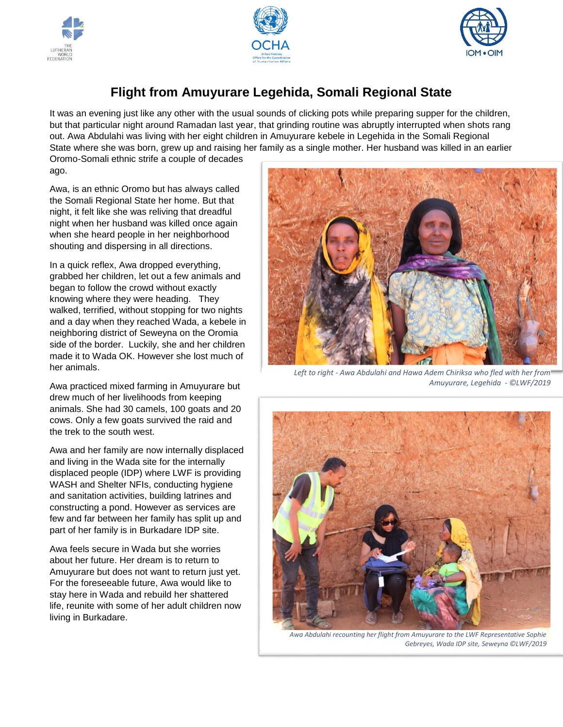





## **Flight from Amuyurare Legehida, Somali Regional State**

It was an evening just like any other with the usual sounds of clicking pots while preparing supper for the children, but that particular night around Ramadan last year, that grinding routine was abruptly interrupted when shots rang out. Awa Abdulahi was living with her eight children in Amuyurare kebele in Legehida in the Somali Regional State where she was born, grew up and raising her family as a single mother. Her husband was killed in an earlier

Oromo-Somali ethnic strife a couple of decades ago.

Awa, is an ethnic Oromo but has always called the Somali Regional State her home. But that night, it felt like she was reliving that dreadful night when her husband was killed once again when she heard people in her neighborhood shouting and dispersing in all directions.

In a quick reflex, Awa dropped everything, grabbed her children, let out a few animals and began to follow the crowd without exactly knowing where they were heading. They walked, terrified, without stopping for two nights and a day when they reached Wada, a kebele in neighboring district of Seweyna on the Oromia side of the border. Luckily, she and her children made it to Wada OK. However she lost much of her animals.

Awa practiced mixed farming in Amuyurare but drew much of her livelihoods from keeping animals. She had 30 camels, 100 goats and 20 cows. Only a few goats survived the raid and the trek to the south west.

Awa and her family are now internally displaced and living in the Wada site for the internally displaced people (IDP) where LWF is providing WASH and Shelter NFIs, conducting hygiene and sanitation activities, building latrines and constructing a pond. However as services are few and far between her family has split up and part of her family is in Burkadare IDP site.

Awa feels secure in Wada but she worries about her future. Her dream is to return to Amuyurare but does not want to return just yet. For the foreseeable future, Awa would like to stay here in Wada and rebuild her shattered life, reunite with some of her adult children now living in Burkadare.



*Left to right - Awa Abdulahi and Hawa Adem Chiriksa who fled with her from Amuyurare, Legehida - ©LWF/2019*



*Awa Abdulahi recounting her flight from Amuyurare to the LWF Representative Sophie Gebreyes, Wada IDP site, Seweyna ©LWF/2019*